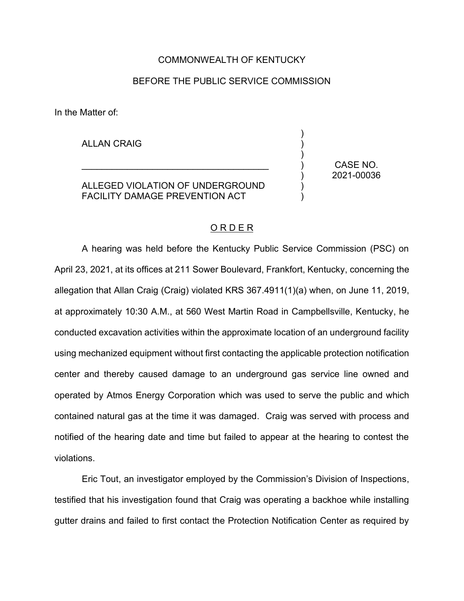## COMMONWEALTH OF KENTUCKY

# BEFORE THE PUBLIC SERVICE COMMISSION

In the Matter of:

ALLAN CRAIG

ALLEGED VIOLATION OF UNDERGROUND FACILITY DAMAGE PREVENTION ACT

\_\_\_\_\_\_\_\_\_\_\_\_\_\_\_\_\_\_\_\_\_\_\_\_\_\_\_\_\_\_\_\_\_\_\_\_\_

CASE NO. 2021-00036

) ) ) ) ) ) )

## O R D E R

A hearing was held before the Kentucky Public Service Commission (PSC) on April 23, 2021, at its offices at 211 Sower Boulevard, Frankfort, Kentucky, concerning the allegation that Allan Craig (Craig) violated KRS 367.4911(1)(a) when, on June 11, 2019, at approximately 10:30 A.M., at 560 West Martin Road in Campbellsville, Kentucky, he conducted excavation activities within the approximate location of an underground facility using mechanized equipment without first contacting the applicable protection notification center and thereby caused damage to an underground gas service line owned and operated by Atmos Energy Corporation which was used to serve the public and which contained natural gas at the time it was damaged. Craig was served with process and notified of the hearing date and time but failed to appear at the hearing to contest the violations.

Eric Tout, an investigator employed by the Commission's Division of Inspections, testified that his investigation found that Craig was operating a backhoe while installing gutter drains and failed to first contact the Protection Notification Center as required by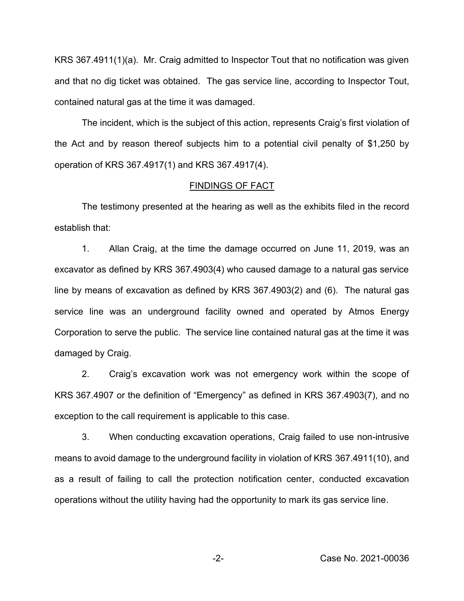KRS 367.4911(1)(a). Mr. Craig admitted to Inspector Tout that no notification was given and that no dig ticket was obtained. The gas service line, according to Inspector Tout, contained natural gas at the time it was damaged.

The incident, which is the subject of this action, represents Craig's first violation of the Act and by reason thereof subjects him to a potential civil penalty of \$1,250 by operation of KRS 367.4917(1) and KRS 367.4917(4).

#### FINDINGS OF FACT

The testimony presented at the hearing as well as the exhibits filed in the record establish that:

1. Allan Craig, at the time the damage occurred on June 11, 2019, was an excavator as defined by KRS 367.4903(4) who caused damage to a natural gas service line by means of excavation as defined by KRS 367.4903(2) and (6). The natural gas service line was an underground facility owned and operated by Atmos Energy Corporation to serve the public. The service line contained natural gas at the time it was damaged by Craig.

2. Craig's excavation work was not emergency work within the scope of KRS 367.4907 or the definition of "Emergency" as defined in KRS 367.4903(7), and no exception to the call requirement is applicable to this case.

3. When conducting excavation operations, Craig failed to use non-intrusive means to avoid damage to the underground facility in violation of KRS 367.4911(10), and as a result of failing to call the protection notification center, conducted excavation operations without the utility having had the opportunity to mark its gas service line.

-2- Case No. 2021-00036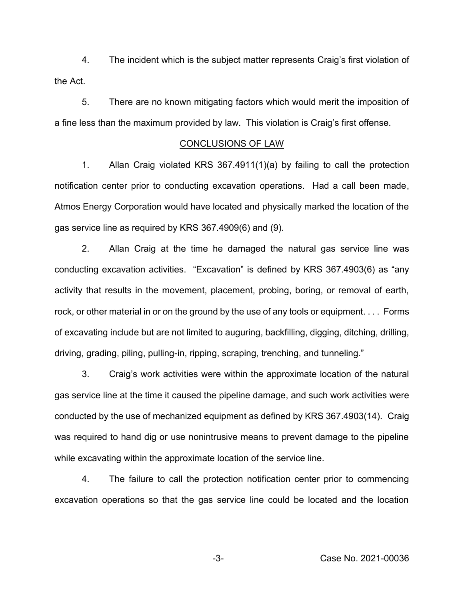4. The incident which is the subject matter represents Craig's first violation of the Act.

5. There are no known mitigating factors which would merit the imposition of a fine less than the maximum provided by law. This violation is Craig's first offense.

### CONCLUSIONS OF LAW

1. Allan Craig violated KRS 367.4911(1)(a) by failing to call the protection notification center prior to conducting excavation operations. Had a call been made, Atmos Energy Corporation would have located and physically marked the location of the gas service line as required by KRS 367.4909(6) and (9).

2. Allan Craig at the time he damaged the natural gas service line was conducting excavation activities. "Excavation" is defined by KRS 367.4903(6) as "any activity that results in the movement, placement, probing, boring, or removal of earth, rock, or other material in or on the ground by the use of any tools or equipment. . . . Forms of excavating include but are not limited to auguring, backfilling, digging, ditching, drilling, driving, grading, piling, pulling-in, ripping, scraping, trenching, and tunneling."

3. Craig's work activities were within the approximate location of the natural gas service line at the time it caused the pipeline damage, and such work activities were conducted by the use of mechanized equipment as defined by KRS 367.4903(14). Craig was required to hand dig or use nonintrusive means to prevent damage to the pipeline while excavating within the approximate location of the service line.

4. The failure to call the protection notification center prior to commencing excavation operations so that the gas service line could be located and the location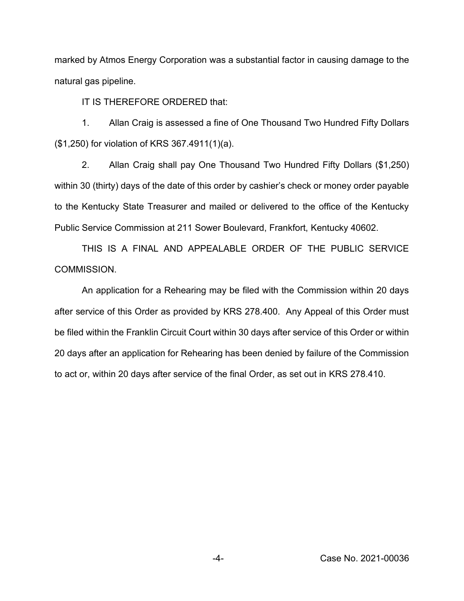marked by Atmos Energy Corporation was a substantial factor in causing damage to the natural gas pipeline.

IT IS THEREFORE ORDERED that:

1. Allan Craig is assessed a fine of One Thousand Two Hundred Fifty Dollars (\$1,250) for violation of KRS 367.4911(1)(a).

2. Allan Craig shall pay One Thousand Two Hundred Fifty Dollars (\$1,250) within 30 (thirty) days of the date of this order by cashier's check or money order payable to the Kentucky State Treasurer and mailed or delivered to the office of the Kentucky Public Service Commission at 211 Sower Boulevard, Frankfort, Kentucky 40602.

THIS IS A FINAL AND APPEALABLE ORDER OF THE PUBLIC SERVICE COMMISSION.

An application for a Rehearing may be filed with the Commission within 20 days after service of this Order as provided by KRS 278.400. Any Appeal of this Order must be filed within the Franklin Circuit Court within 30 days after service of this Order or within 20 days after an application for Rehearing has been denied by failure of the Commission to act or, within 20 days after service of the final Order, as set out in KRS 278.410.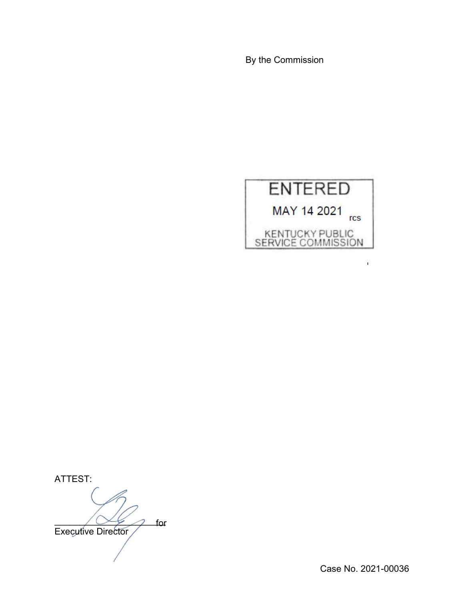By the Commission



ATTEST:

 $\bigwedge \bigvee \neq \bigwedge$  for Executive Director for

Case No. 2021-00036